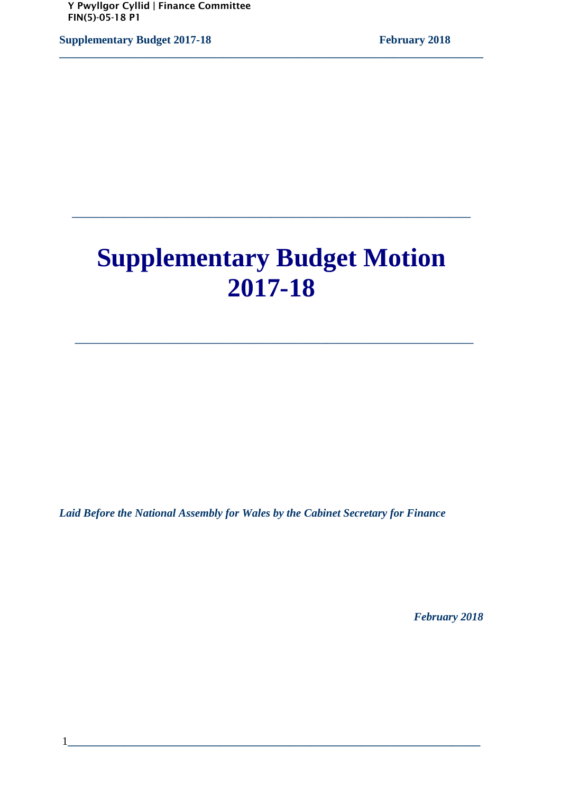**Supplementary Budget 2017-18** February 2018

# **Supplementary Budget Motion 2017-18**

 **\_\_\_\_\_\_\_\_\_\_\_\_\_\_\_\_\_\_\_\_\_\_\_\_\_\_\_\_\_\_\_\_\_\_\_\_\_\_**

**\_\_\_\_\_\_\_\_\_\_\_\_\_\_\_\_\_\_\_\_\_\_\_\_\_\_\_\_\_\_\_\_\_\_\_\_\_\_** 

**\_\_\_\_\_\_\_\_\_\_\_\_\_\_\_\_\_\_\_\_\_\_\_\_\_\_\_\_\_\_\_\_\_\_\_\_\_\_\_\_\_\_\_\_\_\_\_\_\_\_\_\_\_\_\_\_\_\_\_\_\_\_\_\_\_\_\_\_\_\_\_\_\_\_\_** 

*Laid Before the National Assembly for Wales by the Cabinet Secretary for Finance* 

 *February 2018*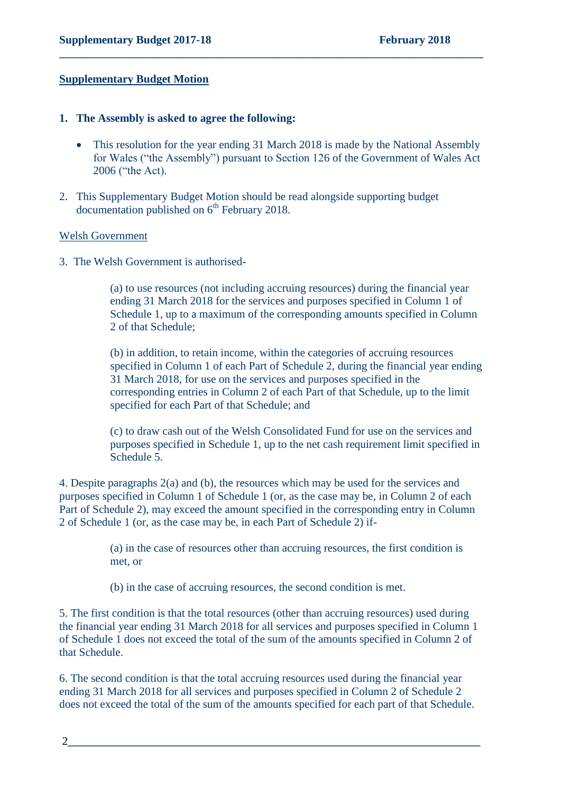#### **Supplementary Budget Motion**

#### **1. The Assembly is asked to agree the following:**

• This resolution for the year ending 31 March 2018 is made by the National Assembly for Wales ("the Assembly") pursuant to Section 126 of the Government of Wales Act 2006 ("the Act).

**\_\_\_\_\_\_\_\_\_\_\_\_\_\_\_\_\_\_\_\_\_\_\_\_\_\_\_\_\_\_\_\_\_\_\_\_\_\_\_\_\_\_\_\_\_\_\_\_\_\_\_\_\_\_\_\_\_\_\_\_\_\_\_\_\_\_\_\_\_\_\_\_\_\_\_**

2. This Supplementary Budget Motion should be read alongside supporting budget documentation published on 6<sup>th</sup> February 2018.

#### Welsh Government

3. The Welsh Government is authorised-

(a) to use resources (not including accruing resources) during the financial year ending 31 March 2018 for the services and purposes specified in Column 1 of Schedule 1, up to a maximum of the corresponding amounts specified in Column 2 of that Schedule;

(b) in addition, to retain income, within the categories of accruing resources specified in Column 1 of each Part of Schedule 2, during the financial year ending 31 March 2018, for use on the services and purposes specified in the corresponding entries in Column 2 of each Part of that Schedule, up to the limit specified for each Part of that Schedule; and

(c) to draw cash out of the Welsh Consolidated Fund for use on the services and purposes specified in Schedule 1, up to the net cash requirement limit specified in Schedule 5.

4. Despite paragraphs 2(a) and (b), the resources which may be used for the services and purposes specified in Column 1 of Schedule 1 (or, as the case may be, in Column 2 of each Part of Schedule 2), may exceed the amount specified in the corresponding entry in Column 2 of Schedule 1 (or, as the case may be, in each Part of Schedule 2) if-

> (a) in the case of resources other than accruing resources, the first condition is met, or

(b) in the case of accruing resources, the second condition is met.

5. The first condition is that the total resources (other than accruing resources) used during the financial year ending 31 March 2018 for all services and purposes specified in Column 1 of Schedule 1 does not exceed the total of the sum of the amounts specified in Column 2 of that Schedule.

6. The second condition is that the total accruing resources used during the financial year ending 31 March 2018 for all services and purposes specified in Column 2 of Schedule 2 does not exceed the total of the sum of the amounts specified for each part of that Schedule.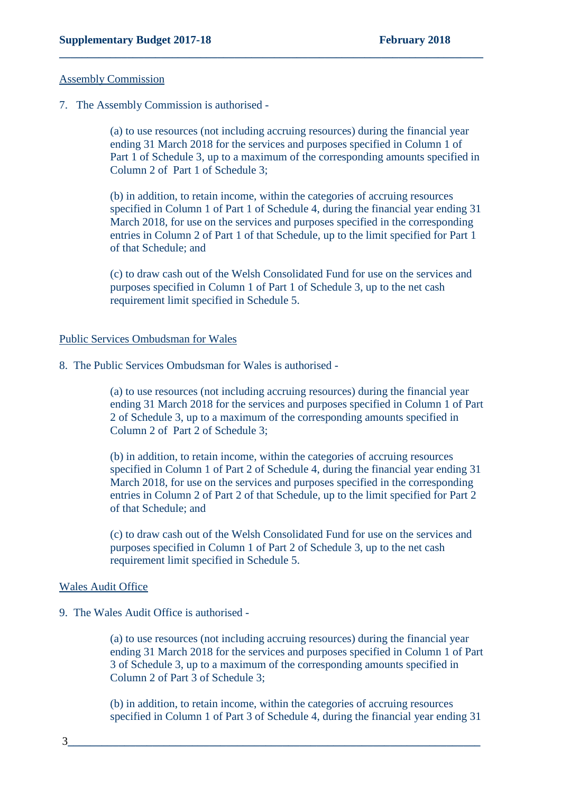#### Assembly Commission

7. The Assembly Commission is authorised -

(a) to use resources (not including accruing resources) during the financial year ending 31 March 2018 for the services and purposes specified in Column 1 of Part 1 of Schedule 3, up to a maximum of the corresponding amounts specified in Column 2 of Part 1 of Schedule 3;

**\_\_\_\_\_\_\_\_\_\_\_\_\_\_\_\_\_\_\_\_\_\_\_\_\_\_\_\_\_\_\_\_\_\_\_\_\_\_\_\_\_\_\_\_\_\_\_\_\_\_\_\_\_\_\_\_\_\_\_\_\_\_\_\_\_\_\_\_\_\_\_\_\_\_\_**

(b) in addition, to retain income, within the categories of accruing resources specified in Column 1 of Part 1 of Schedule 4, during the financial year ending 31 March 2018, for use on the services and purposes specified in the corresponding entries in Column 2 of Part 1 of that Schedule, up to the limit specified for Part 1 of that Schedule; and

(c) to draw cash out of the Welsh Consolidated Fund for use on the services and purposes specified in Column 1 of Part 1 of Schedule 3, up to the net cash requirement limit specified in Schedule 5.

#### Public Services Ombudsman for Wales

8. The Public Services Ombudsman for Wales is authorised -

(a) to use resources (not including accruing resources) during the financial year ending 31 March 2018 for the services and purposes specified in Column 1 of Part 2 of Schedule 3, up to a maximum of the corresponding amounts specified in Column 2 of Part 2 of Schedule 3;

(b) in addition, to retain income, within the categories of accruing resources specified in Column 1 of Part 2 of Schedule 4, during the financial year ending 31 March 2018, for use on the services and purposes specified in the corresponding entries in Column 2 of Part 2 of that Schedule, up to the limit specified for Part 2 of that Schedule; and

(c) to draw cash out of the Welsh Consolidated Fund for use on the services and purposes specified in Column 1 of Part 2 of Schedule 3, up to the net cash requirement limit specified in Schedule 5.

#### Wales Audit Office

9. The Wales Audit Office is authorised -

(a) to use resources (not including accruing resources) during the financial year ending 31 March 2018 for the services and purposes specified in Column 1 of Part 3 of Schedule 3, up to a maximum of the corresponding amounts specified in Column 2 of Part 3 of Schedule 3;

(b) in addition, to retain income, within the categories of accruing resources specified in Column 1 of Part 3 of Schedule 4, during the financial year ending 31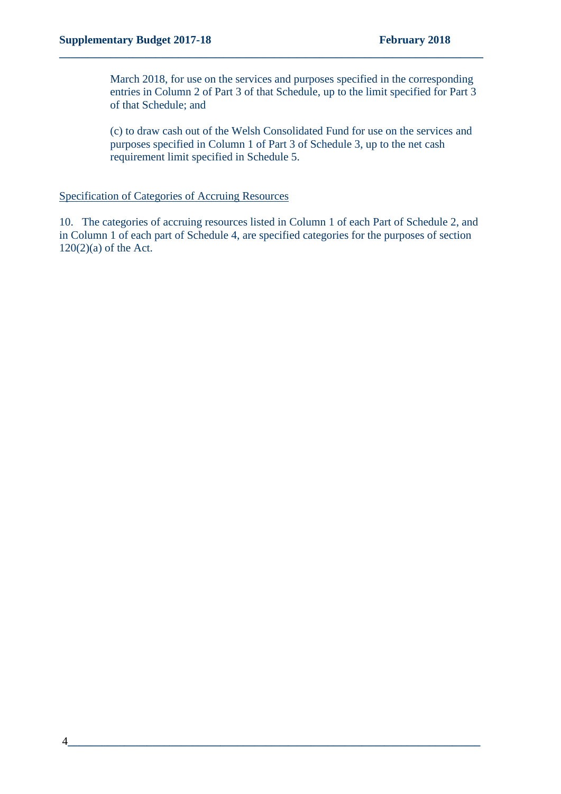March 2018, for use on the services and purposes specified in the corresponding entries in Column 2 of Part 3 of that Schedule, up to the limit specified for Part 3 of that Schedule; and

**\_\_\_\_\_\_\_\_\_\_\_\_\_\_\_\_\_\_\_\_\_\_\_\_\_\_\_\_\_\_\_\_\_\_\_\_\_\_\_\_\_\_\_\_\_\_\_\_\_\_\_\_\_\_\_\_\_\_\_\_\_\_\_\_\_\_\_\_\_\_\_\_\_\_\_**

(c) to draw cash out of the Welsh Consolidated Fund for use on the services and purposes specified in Column 1 of Part 3 of Schedule 3, up to the net cash requirement limit specified in Schedule 5.

#### Specification of Categories of Accruing Resources

10. The categories of accruing resources listed in Column 1 of each Part of Schedule 2, and in Column 1 of each part of Schedule 4, are specified categories for the purposes of section  $120(2)(a)$  of the Act.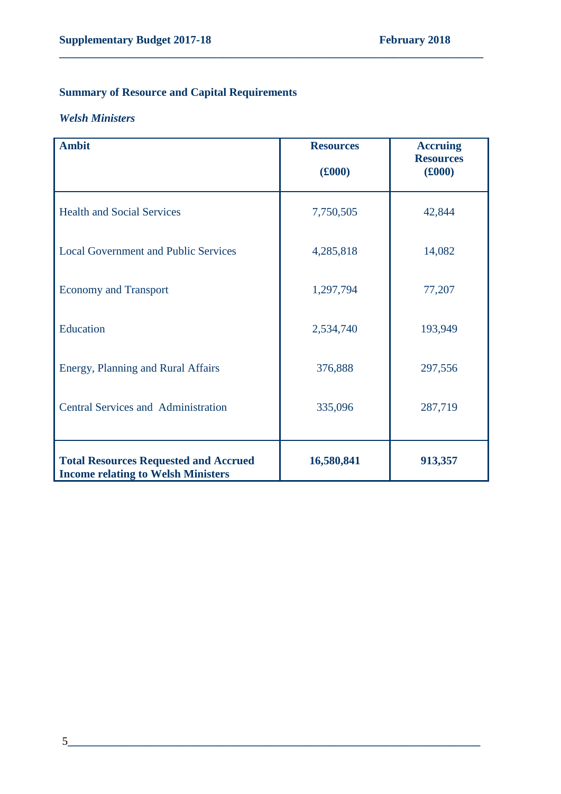# **Summary of Resource and Capital Requirements**

#### *Welsh Ministers*

| <b>Ambit</b>                                                                              | <b>Resources</b><br>(£000) | <b>Accruing</b><br><b>Resources</b><br>(£000) |
|-------------------------------------------------------------------------------------------|----------------------------|-----------------------------------------------|
| <b>Health and Social Services</b>                                                         | 7,750,505                  | 42,844                                        |
| <b>Local Government and Public Services</b>                                               | 4,285,818                  | 14,082                                        |
| <b>Economy and Transport</b>                                                              | 1,297,794                  | 77,207                                        |
| Education                                                                                 | 2,534,740                  | 193,949                                       |
| Energy, Planning and Rural Affairs                                                        | 376,888                    | 297,556                                       |
| <b>Central Services and Administration</b>                                                | 335,096                    | 287,719                                       |
| <b>Total Resources Requested and Accrued</b><br><b>Income relating to Welsh Ministers</b> | 16,580,841                 | 913,357                                       |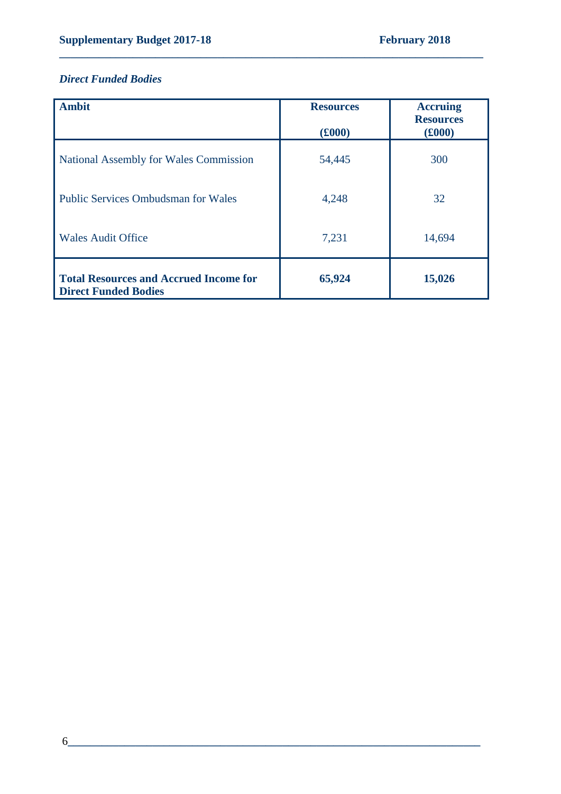### *Direct Funded Bodies*

| <b>Ambit</b>                                                                 | <b>Resources</b><br>$(£000)$ | <b>Accruing</b><br><b>Resources</b><br>(f000) |
|------------------------------------------------------------------------------|------------------------------|-----------------------------------------------|
| National Assembly for Wales Commission                                       | 54,445                       | 300                                           |
| <b>Public Services Ombudsman for Wales</b>                                   | 4,248                        | 32                                            |
| <b>Wales Audit Office</b>                                                    | 7,231                        | 14,694                                        |
| <b>Total Resources and Accrued Income for</b><br><b>Direct Funded Bodies</b> | 65,924                       | 15,026                                        |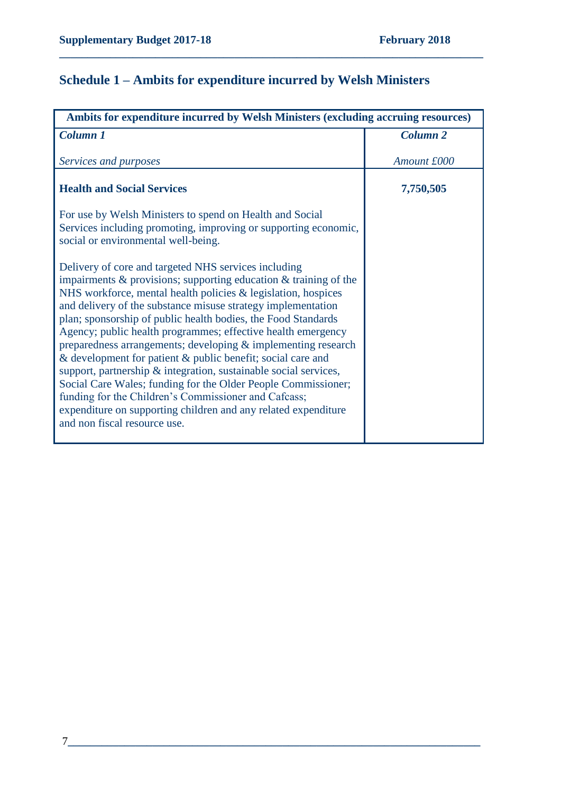# **Schedule 1 – Ambits for expenditure incurred by Welsh Ministers**

| Ambits for expenditure incurred by Welsh Ministers (excluding accruing resources)                                                                                                                                                                                                                                                                                                                                                                                                                                                                                                                                                                                                                                                                                                                                               |                     |
|---------------------------------------------------------------------------------------------------------------------------------------------------------------------------------------------------------------------------------------------------------------------------------------------------------------------------------------------------------------------------------------------------------------------------------------------------------------------------------------------------------------------------------------------------------------------------------------------------------------------------------------------------------------------------------------------------------------------------------------------------------------------------------------------------------------------------------|---------------------|
| <b>Column 1</b>                                                                                                                                                                                                                                                                                                                                                                                                                                                                                                                                                                                                                                                                                                                                                                                                                 | Column <sub>2</sub> |
| Services and purposes                                                                                                                                                                                                                                                                                                                                                                                                                                                                                                                                                                                                                                                                                                                                                                                                           | Amount £000         |
| <b>Health and Social Services</b>                                                                                                                                                                                                                                                                                                                                                                                                                                                                                                                                                                                                                                                                                                                                                                                               | 7,750,505           |
| For use by Welsh Ministers to spend on Health and Social<br>Services including promoting, improving or supporting economic,<br>social or environmental well-being.                                                                                                                                                                                                                                                                                                                                                                                                                                                                                                                                                                                                                                                              |                     |
| Delivery of core and targeted NHS services including<br>impairments $\&$ provisions; supporting education $\&$ training of the<br>NHS workforce, mental health policies & legislation, hospices<br>and delivery of the substance misuse strategy implementation<br>plan; sponsorship of public health bodies, the Food Standards<br>Agency; public health programmes; effective health emergency<br>preparedness arrangements; developing & implementing research<br>& development for patient & public benefit; social care and<br>support, partnership & integration, sustainable social services,<br>Social Care Wales; funding for the Older People Commissioner;<br>funding for the Children's Commissioner and Cafcass;<br>expenditure on supporting children and any related expenditure<br>and non fiscal resource use. |                     |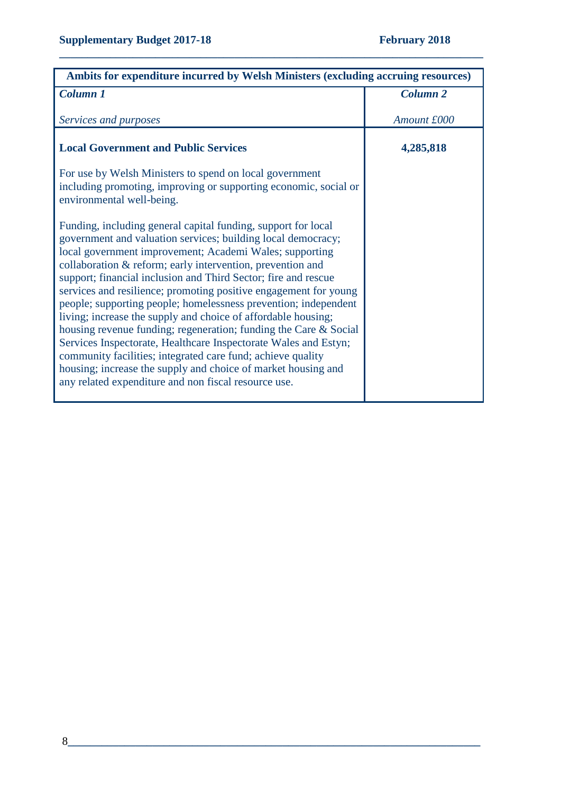| Ambits for expenditure incurred by Welsh Ministers (excluding accruing resources)                                                                                                                                                                                                                                                                                                                                                                                                                                                                                                                                                                                                                                                                                                                                                                               |                 |
|-----------------------------------------------------------------------------------------------------------------------------------------------------------------------------------------------------------------------------------------------------------------------------------------------------------------------------------------------------------------------------------------------------------------------------------------------------------------------------------------------------------------------------------------------------------------------------------------------------------------------------------------------------------------------------------------------------------------------------------------------------------------------------------------------------------------------------------------------------------------|-----------------|
| Column 1                                                                                                                                                                                                                                                                                                                                                                                                                                                                                                                                                                                                                                                                                                                                                                                                                                                        | <b>Column 2</b> |
| Services and purposes                                                                                                                                                                                                                                                                                                                                                                                                                                                                                                                                                                                                                                                                                                                                                                                                                                           | Amount £000     |
| <b>Local Government and Public Services</b>                                                                                                                                                                                                                                                                                                                                                                                                                                                                                                                                                                                                                                                                                                                                                                                                                     | 4,285,818       |
| For use by Welsh Ministers to spend on local government<br>including promoting, improving or supporting economic, social or<br>environmental well-being.                                                                                                                                                                                                                                                                                                                                                                                                                                                                                                                                                                                                                                                                                                        |                 |
| Funding, including general capital funding, support for local<br>government and valuation services; building local democracy;<br>local government improvement; Academi Wales; supporting<br>collaboration & reform; early intervention, prevention and<br>support; financial inclusion and Third Sector; fire and rescue<br>services and resilience; promoting positive engagement for young<br>people; supporting people; homelessness prevention; independent<br>living; increase the supply and choice of affordable housing;<br>housing revenue funding; regeneration; funding the Care & Social<br>Services Inspectorate, Healthcare Inspectorate Wales and Estyn;<br>community facilities; integrated care fund; achieve quality<br>housing; increase the supply and choice of market housing and<br>any related expenditure and non fiscal resource use. |                 |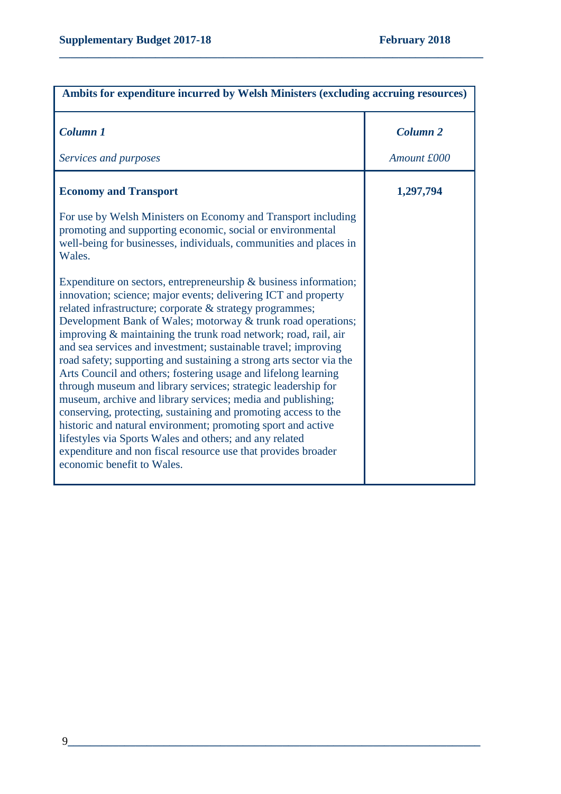| Ambits for expenditure incurred by Welsh Ministers (excluding accruing resources)                                                                                                                                                                                                                                                                                                                                                                                                                                                                                                                                                                                                                                                                                                                                                                                                                                                                                           |                     |
|-----------------------------------------------------------------------------------------------------------------------------------------------------------------------------------------------------------------------------------------------------------------------------------------------------------------------------------------------------------------------------------------------------------------------------------------------------------------------------------------------------------------------------------------------------------------------------------------------------------------------------------------------------------------------------------------------------------------------------------------------------------------------------------------------------------------------------------------------------------------------------------------------------------------------------------------------------------------------------|---------------------|
| Column <sub>1</sub>                                                                                                                                                                                                                                                                                                                                                                                                                                                                                                                                                                                                                                                                                                                                                                                                                                                                                                                                                         | Column <sub>2</sub> |
| Services and purposes                                                                                                                                                                                                                                                                                                                                                                                                                                                                                                                                                                                                                                                                                                                                                                                                                                                                                                                                                       | Amount £000         |
| <b>Economy and Transport</b>                                                                                                                                                                                                                                                                                                                                                                                                                                                                                                                                                                                                                                                                                                                                                                                                                                                                                                                                                | 1,297,794           |
| For use by Welsh Ministers on Economy and Transport including<br>promoting and supporting economic, social or environmental<br>well-being for businesses, individuals, communities and places in<br>Wales.                                                                                                                                                                                                                                                                                                                                                                                                                                                                                                                                                                                                                                                                                                                                                                  |                     |
| Expenditure on sectors, entrepreneurship $\&$ business information;<br>innovation; science; major events; delivering ICT and property<br>related infrastructure; corporate & strategy programmes;<br>Development Bank of Wales; motorway & trunk road operations;<br>improving & maintaining the trunk road network; road, rail, air<br>and sea services and investment; sustainable travel; improving<br>road safety; supporting and sustaining a strong arts sector via the<br>Arts Council and others; fostering usage and lifelong learning<br>through museum and library services; strategic leadership for<br>museum, archive and library services; media and publishing;<br>conserving, protecting, sustaining and promoting access to the<br>historic and natural environment; promoting sport and active<br>lifestyles via Sports Wales and others; and any related<br>expenditure and non fiscal resource use that provides broader<br>economic benefit to Wales. |                     |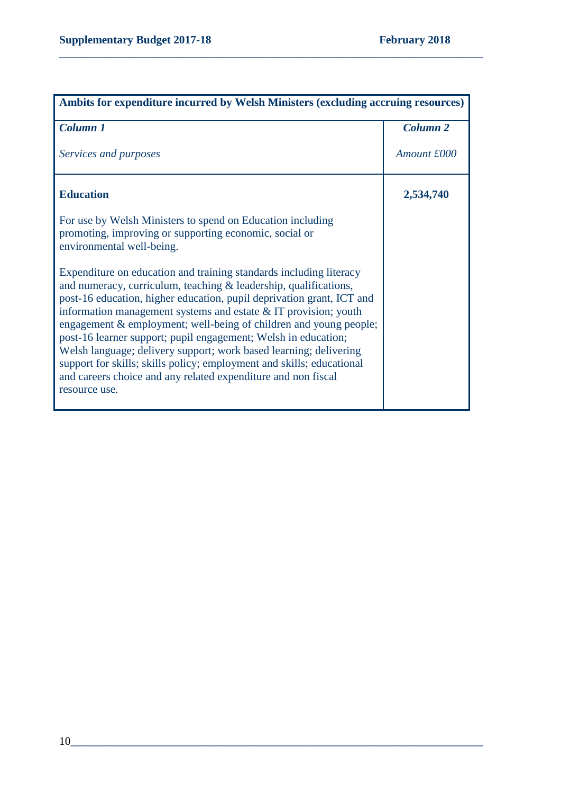| Ambits for expenditure incurred by Welsh Ministers (excluding accruing resources)                                                                                                                                                                                                                                                                                                                                                                                                                                                                                                                                                                          |                 |
|------------------------------------------------------------------------------------------------------------------------------------------------------------------------------------------------------------------------------------------------------------------------------------------------------------------------------------------------------------------------------------------------------------------------------------------------------------------------------------------------------------------------------------------------------------------------------------------------------------------------------------------------------------|-----------------|
| Column 1                                                                                                                                                                                                                                                                                                                                                                                                                                                                                                                                                                                                                                                   | <b>Column 2</b> |
| Services and purposes                                                                                                                                                                                                                                                                                                                                                                                                                                                                                                                                                                                                                                      | Amount £000     |
| <b>Education</b>                                                                                                                                                                                                                                                                                                                                                                                                                                                                                                                                                                                                                                           | 2,534,740       |
| For use by Welsh Ministers to spend on Education including<br>promoting, improving or supporting economic, social or<br>environmental well-being.                                                                                                                                                                                                                                                                                                                                                                                                                                                                                                          |                 |
| Expenditure on education and training standards including literacy<br>and numeracy, curriculum, teaching & leadership, qualifications,<br>post-16 education, higher education, pupil deprivation grant, ICT and<br>information management systems and estate $&IT$ provision; youth<br>engagement & employment; well-being of children and young people;<br>post-16 learner support; pupil engagement; Welsh in education;<br>Welsh language; delivery support; work based learning; delivering<br>support for skills; skills policy; employment and skills; educational<br>and careers choice and any related expenditure and non fiscal<br>resource use. |                 |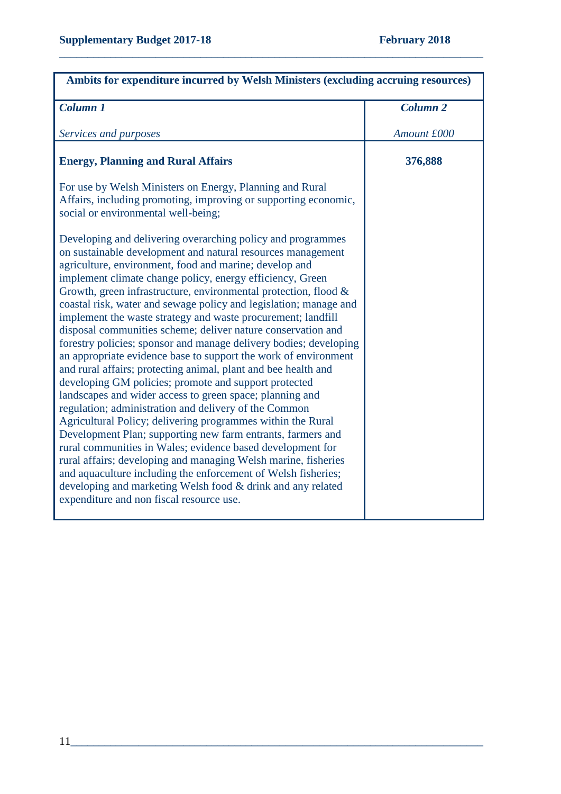| <b>Column 1</b><br>Services and purposes<br><b>Energy, Planning and Rural Affairs</b><br>For use by Welsh Ministers on Energy, Planning and Rural<br>Affairs, including promoting, improving or supporting economic,<br>social or environmental well-being;<br>Developing and delivering overarching policy and programmes<br>on sustainable development and natural resources management<br>agriculture, environment, food and marine; develop and<br>implement climate change policy, energy efficiency, Green<br>Growth, green infrastructure, environmental protection, flood &<br>coastal risk, water and sewage policy and legislation; manage and<br>implement the waste strategy and waste procurement; landfill<br>disposal communities scheme; deliver nature conservation and<br>forestry policies; sponsor and manage delivery bodies; developing<br>an appropriate evidence base to support the work of environment<br>and rural affairs; protecting animal, plant and bee health and | Ambits for expenditure incurred by Welsh Ministers (excluding accruing resources) |  |
|----------------------------------------------------------------------------------------------------------------------------------------------------------------------------------------------------------------------------------------------------------------------------------------------------------------------------------------------------------------------------------------------------------------------------------------------------------------------------------------------------------------------------------------------------------------------------------------------------------------------------------------------------------------------------------------------------------------------------------------------------------------------------------------------------------------------------------------------------------------------------------------------------------------------------------------------------------------------------------------------------|-----------------------------------------------------------------------------------|--|
|                                                                                                                                                                                                                                                                                                                                                                                                                                                                                                                                                                                                                                                                                                                                                                                                                                                                                                                                                                                                    | Column <sub>2</sub>                                                               |  |
|                                                                                                                                                                                                                                                                                                                                                                                                                                                                                                                                                                                                                                                                                                                                                                                                                                                                                                                                                                                                    | Amount £000                                                                       |  |
|                                                                                                                                                                                                                                                                                                                                                                                                                                                                                                                                                                                                                                                                                                                                                                                                                                                                                                                                                                                                    | 376,888                                                                           |  |
|                                                                                                                                                                                                                                                                                                                                                                                                                                                                                                                                                                                                                                                                                                                                                                                                                                                                                                                                                                                                    |                                                                                   |  |
| developing GM policies; promote and support protected<br>landscapes and wider access to green space; planning and<br>regulation; administration and delivery of the Common<br>Agricultural Policy; delivering programmes within the Rural<br>Development Plan; supporting new farm entrants, farmers and<br>rural communities in Wales; evidence based development for<br>rural affairs; developing and managing Welsh marine, fisheries<br>and aquaculture including the enforcement of Welsh fisheries;<br>developing and marketing Welsh food & drink and any related<br>expenditure and non fiscal resource use.                                                                                                                                                                                                                                                                                                                                                                               |                                                                                   |  |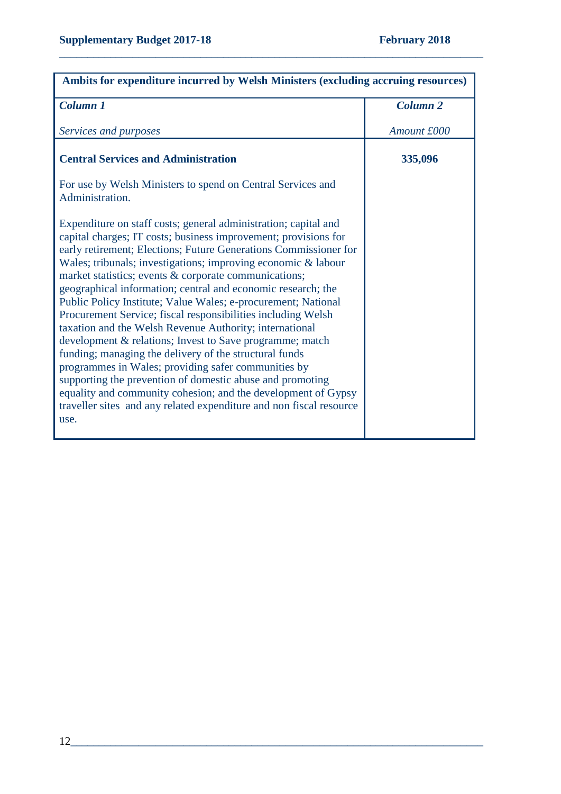| Ambits for expenditure incurred by Welsh Ministers (excluding accruing resources)                                                                                                                                                                                                                                                                                                                                                                                                                                                                                                                                                                                                                                                                                                                                                                                                                                                                                                      |                 |
|----------------------------------------------------------------------------------------------------------------------------------------------------------------------------------------------------------------------------------------------------------------------------------------------------------------------------------------------------------------------------------------------------------------------------------------------------------------------------------------------------------------------------------------------------------------------------------------------------------------------------------------------------------------------------------------------------------------------------------------------------------------------------------------------------------------------------------------------------------------------------------------------------------------------------------------------------------------------------------------|-----------------|
| <b>Column 1</b>                                                                                                                                                                                                                                                                                                                                                                                                                                                                                                                                                                                                                                                                                                                                                                                                                                                                                                                                                                        | <b>Column 2</b> |
| Services and purposes                                                                                                                                                                                                                                                                                                                                                                                                                                                                                                                                                                                                                                                                                                                                                                                                                                                                                                                                                                  | Amount £000     |
| <b>Central Services and Administration</b>                                                                                                                                                                                                                                                                                                                                                                                                                                                                                                                                                                                                                                                                                                                                                                                                                                                                                                                                             | 335,096         |
| For use by Welsh Ministers to spend on Central Services and<br>Administration.                                                                                                                                                                                                                                                                                                                                                                                                                                                                                                                                                                                                                                                                                                                                                                                                                                                                                                         |                 |
| Expenditure on staff costs; general administration; capital and<br>capital charges; IT costs; business improvement; provisions for<br>early retirement; Elections; Future Generations Commissioner for<br>Wales; tribunals; investigations; improving economic & labour<br>market statistics; events & corporate communications;<br>geographical information; central and economic research; the<br>Public Policy Institute; Value Wales; e-procurement; National<br>Procurement Service; fiscal responsibilities including Welsh<br>taxation and the Welsh Revenue Authority; international<br>development & relations; Invest to Save programme; match<br>funding; managing the delivery of the structural funds<br>programmes in Wales; providing safer communities by<br>supporting the prevention of domestic abuse and promoting<br>equality and community cohesion; and the development of Gypsy<br>traveller sites and any related expenditure and non fiscal resource<br>use. |                 |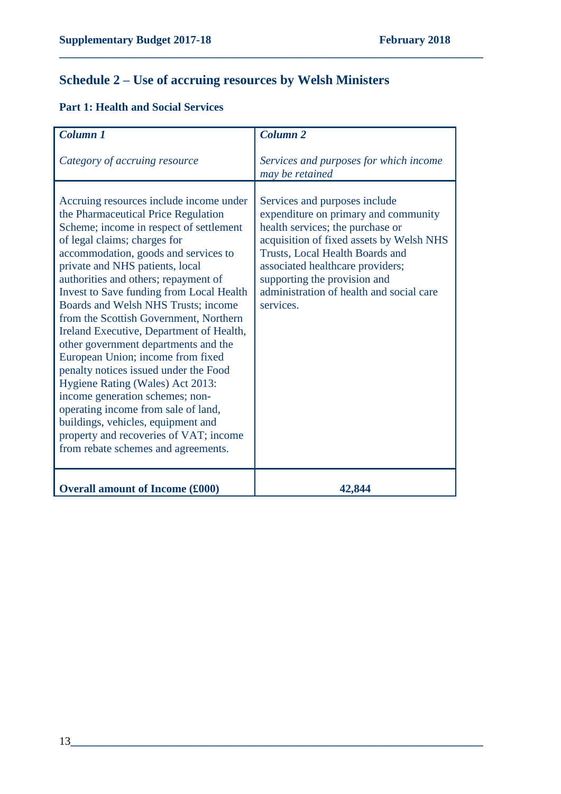# **Schedule 2 – Use of accruing resources by Welsh Ministers**

**\_\_\_\_\_\_\_\_\_\_\_\_\_\_\_\_\_\_\_\_\_\_\_\_\_\_\_\_\_\_\_\_\_\_\_\_\_\_\_\_\_\_\_\_\_\_\_\_\_\_\_\_\_\_\_\_\_\_\_\_\_\_\_\_\_\_\_\_\_\_\_\_\_\_\_**

### **Part 1: Health and Social Services**

| Column 1                                                                                                                                                                                                                                                                                                                                                                                                                                                                                                                                                                                                                                                                                                                                                                                                                | <b>Column 2</b>                                                                                                                                                                                                                                                                                                       |
|-------------------------------------------------------------------------------------------------------------------------------------------------------------------------------------------------------------------------------------------------------------------------------------------------------------------------------------------------------------------------------------------------------------------------------------------------------------------------------------------------------------------------------------------------------------------------------------------------------------------------------------------------------------------------------------------------------------------------------------------------------------------------------------------------------------------------|-----------------------------------------------------------------------------------------------------------------------------------------------------------------------------------------------------------------------------------------------------------------------------------------------------------------------|
| Category of accruing resource                                                                                                                                                                                                                                                                                                                                                                                                                                                                                                                                                                                                                                                                                                                                                                                           | Services and purposes for which income<br>may be retained                                                                                                                                                                                                                                                             |
| Accruing resources include income under<br>the Pharmaceutical Price Regulation<br>Scheme; income in respect of settlement<br>of legal claims; charges for<br>accommodation, goods and services to<br>private and NHS patients, local<br>authorities and others; repayment of<br><b>Invest to Save funding from Local Health</b><br>Boards and Welsh NHS Trusts; income<br>from the Scottish Government, Northern<br>Ireland Executive, Department of Health,<br>other government departments and the<br>European Union; income from fixed<br>penalty notices issued under the Food<br>Hygiene Rating (Wales) Act 2013:<br>income generation schemes; non-<br>operating income from sale of land,<br>buildings, vehicles, equipment and<br>property and recoveries of VAT; income<br>from rebate schemes and agreements. | Services and purposes include<br>expenditure on primary and community<br>health services; the purchase or<br>acquisition of fixed assets by Welsh NHS<br>Trusts, Local Health Boards and<br>associated healthcare providers;<br>supporting the provision and<br>administration of health and social care<br>services. |
| <b>Overall amount of Income (£000)</b>                                                                                                                                                                                                                                                                                                                                                                                                                                                                                                                                                                                                                                                                                                                                                                                  | 42,844                                                                                                                                                                                                                                                                                                                |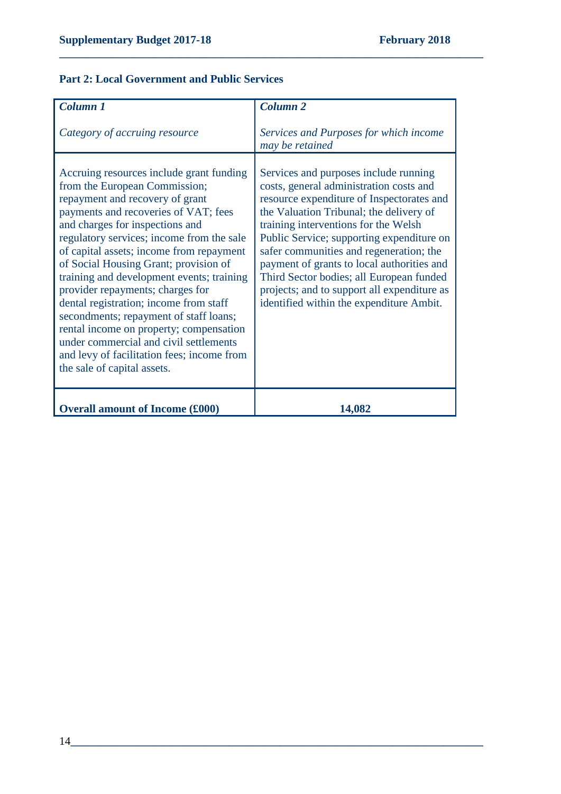#### **Part 2: Local Government and Public Services**

| Column 1                                                                                                                                                                                                                                                                                                                                                                                                                                                                                                                                                                                                                                                         | Column <sub>2</sub>                                                                                                                                                                                                                                                                                                                                                                                                                                                                           |
|------------------------------------------------------------------------------------------------------------------------------------------------------------------------------------------------------------------------------------------------------------------------------------------------------------------------------------------------------------------------------------------------------------------------------------------------------------------------------------------------------------------------------------------------------------------------------------------------------------------------------------------------------------------|-----------------------------------------------------------------------------------------------------------------------------------------------------------------------------------------------------------------------------------------------------------------------------------------------------------------------------------------------------------------------------------------------------------------------------------------------------------------------------------------------|
| Category of accruing resource                                                                                                                                                                                                                                                                                                                                                                                                                                                                                                                                                                                                                                    | Services and Purposes for which income<br>may be retained                                                                                                                                                                                                                                                                                                                                                                                                                                     |
| Accruing resources include grant funding<br>from the European Commission;<br>repayment and recovery of grant<br>payments and recoveries of VAT; fees<br>and charges for inspections and<br>regulatory services; income from the sale<br>of capital assets; income from repayment<br>of Social Housing Grant; provision of<br>training and development events; training<br>provider repayments; charges for<br>dental registration; income from staff<br>secondments; repayment of staff loans;<br>rental income on property; compensation<br>under commercial and civil settlements<br>and levy of facilitation fees; income from<br>the sale of capital assets. | Services and purposes include running<br>costs, general administration costs and<br>resource expenditure of Inspectorates and<br>the Valuation Tribunal; the delivery of<br>training interventions for the Welsh<br>Public Service; supporting expenditure on<br>safer communities and regeneration; the<br>payment of grants to local authorities and<br>Third Sector bodies; all European funded<br>projects; and to support all expenditure as<br>identified within the expenditure Ambit. |
| <b>Overall amount of Income (£000)</b>                                                                                                                                                                                                                                                                                                                                                                                                                                                                                                                                                                                                                           | 14,082                                                                                                                                                                                                                                                                                                                                                                                                                                                                                        |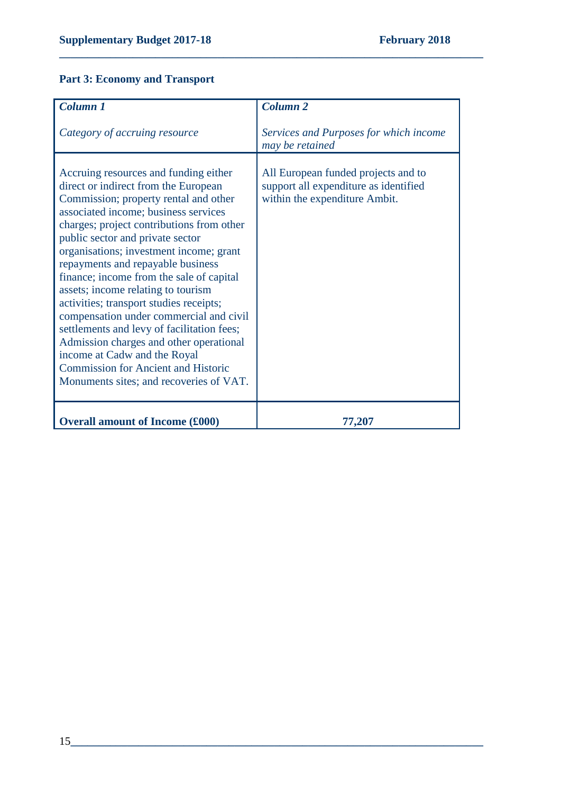### **Part 3: Economy and Transport**

| Column 1                                                                                                                                                                                                                                                                                                                                                                                                                                                                                                                                                                                                                                                                                                                  | Column <sub>2</sub>                                                                                           |
|---------------------------------------------------------------------------------------------------------------------------------------------------------------------------------------------------------------------------------------------------------------------------------------------------------------------------------------------------------------------------------------------------------------------------------------------------------------------------------------------------------------------------------------------------------------------------------------------------------------------------------------------------------------------------------------------------------------------------|---------------------------------------------------------------------------------------------------------------|
| Category of accruing resource                                                                                                                                                                                                                                                                                                                                                                                                                                                                                                                                                                                                                                                                                             | Services and Purposes for which income<br>may be retained                                                     |
| Accruing resources and funding either<br>direct or indirect from the European<br>Commission; property rental and other<br>associated income; business services<br>charges; project contributions from other<br>public sector and private sector<br>organisations; investment income; grant<br>repayments and repayable business<br>finance; income from the sale of capital<br>assets; income relating to tourism<br>activities; transport studies receipts;<br>compensation under commercial and civil<br>settlements and levy of facilitation fees;<br>Admission charges and other operational<br>income at Cadw and the Royal<br><b>Commission for Ancient and Historic</b><br>Monuments sites; and recoveries of VAT. | All European funded projects and to<br>support all expenditure as identified<br>within the expenditure Ambit. |
| <b>Overall amount of Income (£000)</b>                                                                                                                                                                                                                                                                                                                                                                                                                                                                                                                                                                                                                                                                                    | 77,207                                                                                                        |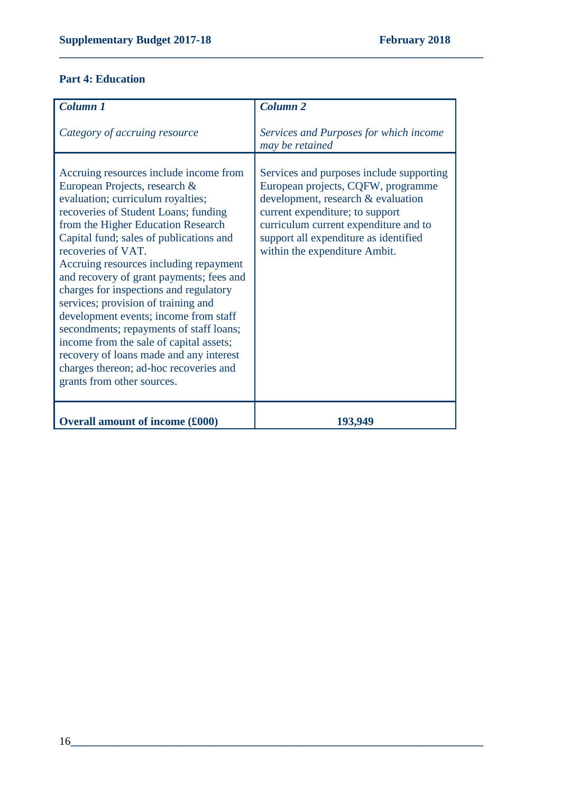# **Part 4: Education**

| Column 1                                                                                                                                                                                                                                                                                                                                                                                                                                                                                                                                                                                                                                                                             | Column <sub>2</sub>                                                                                                                                                                                                                                                        |
|--------------------------------------------------------------------------------------------------------------------------------------------------------------------------------------------------------------------------------------------------------------------------------------------------------------------------------------------------------------------------------------------------------------------------------------------------------------------------------------------------------------------------------------------------------------------------------------------------------------------------------------------------------------------------------------|----------------------------------------------------------------------------------------------------------------------------------------------------------------------------------------------------------------------------------------------------------------------------|
| Category of accruing resource                                                                                                                                                                                                                                                                                                                                                                                                                                                                                                                                                                                                                                                        | Services and Purposes for which income<br>may be retained                                                                                                                                                                                                                  |
| Accruing resources include income from<br>European Projects, research &<br>evaluation; curriculum royalties;<br>recoveries of Student Loans; funding<br>from the Higher Education Research<br>Capital fund; sales of publications and<br>recoveries of VAT.<br>Accruing resources including repayment<br>and recovery of grant payments; fees and<br>charges for inspections and regulatory<br>services; provision of training and<br>development events; income from staff<br>secondments; repayments of staff loans;<br>income from the sale of capital assets;<br>recovery of loans made and any interest<br>charges thereon; ad-hoc recoveries and<br>grants from other sources. | Services and purposes include supporting<br>European projects, CQFW, programme<br>development, research & evaluation<br>current expenditure; to support<br>curriculum current expenditure and to<br>support all expenditure as identified<br>within the expenditure Ambit. |
| <b>Overall amount of income (£000)</b>                                                                                                                                                                                                                                                                                                                                                                                                                                                                                                                                                                                                                                               | 193,949                                                                                                                                                                                                                                                                    |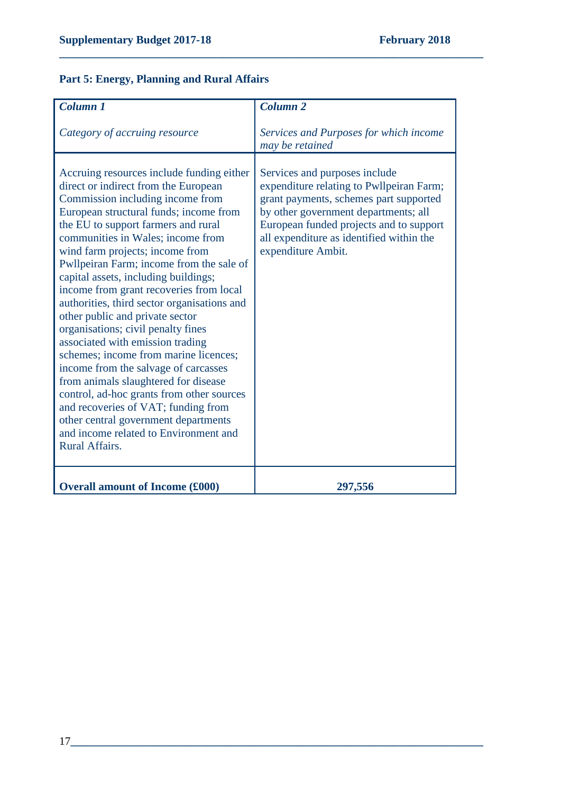### **Part 5: Energy, Planning and Rural Affairs**

| Column <sub>1</sub>                                                                                                                                                                                                                                                                                                                                                                                                                                                                                                                                                                                                                                                                                                                                                                                                                                                                       | <b>Column 2</b>                                                                                                                                                                                                                                                          |
|-------------------------------------------------------------------------------------------------------------------------------------------------------------------------------------------------------------------------------------------------------------------------------------------------------------------------------------------------------------------------------------------------------------------------------------------------------------------------------------------------------------------------------------------------------------------------------------------------------------------------------------------------------------------------------------------------------------------------------------------------------------------------------------------------------------------------------------------------------------------------------------------|--------------------------------------------------------------------------------------------------------------------------------------------------------------------------------------------------------------------------------------------------------------------------|
| Category of accruing resource                                                                                                                                                                                                                                                                                                                                                                                                                                                                                                                                                                                                                                                                                                                                                                                                                                                             | Services and Purposes for which income<br>may be retained                                                                                                                                                                                                                |
| Accruing resources include funding either<br>direct or indirect from the European<br>Commission including income from<br>European structural funds; income from<br>the EU to support farmers and rural<br>communities in Wales; income from<br>wind farm projects; income from<br>Pwllpeiran Farm; income from the sale of<br>capital assets, including buildings;<br>income from grant recoveries from local<br>authorities, third sector organisations and<br>other public and private sector<br>organisations; civil penalty fines<br>associated with emission trading<br>schemes; income from marine licences;<br>income from the salvage of carcasses<br>from animals slaughtered for disease<br>control, ad-hoc grants from other sources<br>and recoveries of VAT; funding from<br>other central government departments<br>and income related to Environment and<br>Rural Affairs. | Services and purposes include<br>expenditure relating to Pwllpeiran Farm;<br>grant payments, schemes part supported<br>by other government departments; all<br>European funded projects and to support<br>all expenditure as identified within the<br>expenditure Ambit. |
| <b>Overall amount of Income (£000)</b>                                                                                                                                                                                                                                                                                                                                                                                                                                                                                                                                                                                                                                                                                                                                                                                                                                                    | 297,556                                                                                                                                                                                                                                                                  |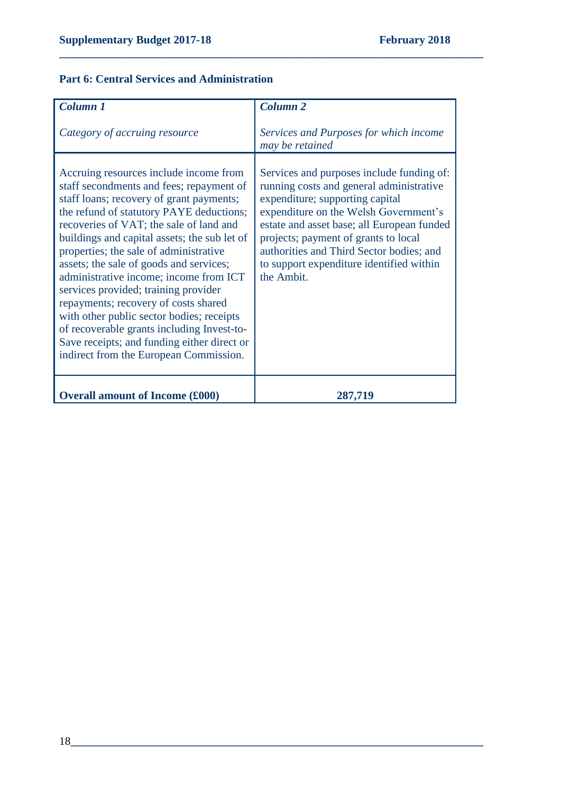### **Part 6: Central Services and Administration**

| Column 1                                                                                                                                                                                                                                                                                                                                                                                                                                                                                                                                                                                                                                                                 | Column <sub>2</sub>                                                                                                                                                                                                                                                                                                                                           |
|--------------------------------------------------------------------------------------------------------------------------------------------------------------------------------------------------------------------------------------------------------------------------------------------------------------------------------------------------------------------------------------------------------------------------------------------------------------------------------------------------------------------------------------------------------------------------------------------------------------------------------------------------------------------------|---------------------------------------------------------------------------------------------------------------------------------------------------------------------------------------------------------------------------------------------------------------------------------------------------------------------------------------------------------------|
| Category of accruing resource                                                                                                                                                                                                                                                                                                                                                                                                                                                                                                                                                                                                                                            | Services and Purposes for which income<br>may be retained                                                                                                                                                                                                                                                                                                     |
| Accruing resources include income from<br>staff secondments and fees; repayment of<br>staff loans; recovery of grant payments;<br>the refund of statutory PAYE deductions;<br>recoveries of VAT; the sale of land and<br>buildings and capital assets; the sub let of<br>properties; the sale of administrative<br>assets; the sale of goods and services;<br>administrative income; income from ICT<br>services provided; training provider<br>repayments; recovery of costs shared<br>with other public sector bodies; receipts<br>of recoverable grants including Invest-to-<br>Save receipts; and funding either direct or<br>indirect from the European Commission. | Services and purposes include funding of:<br>running costs and general administrative<br>expenditure; supporting capital<br>expenditure on the Welsh Government's<br>estate and asset base; all European funded<br>projects; payment of grants to local<br>authorities and Third Sector bodies; and<br>to support expenditure identified within<br>the Ambit. |
| <b>Overall amount of Income (£000)</b>                                                                                                                                                                                                                                                                                                                                                                                                                                                                                                                                                                                                                                   | 287,719                                                                                                                                                                                                                                                                                                                                                       |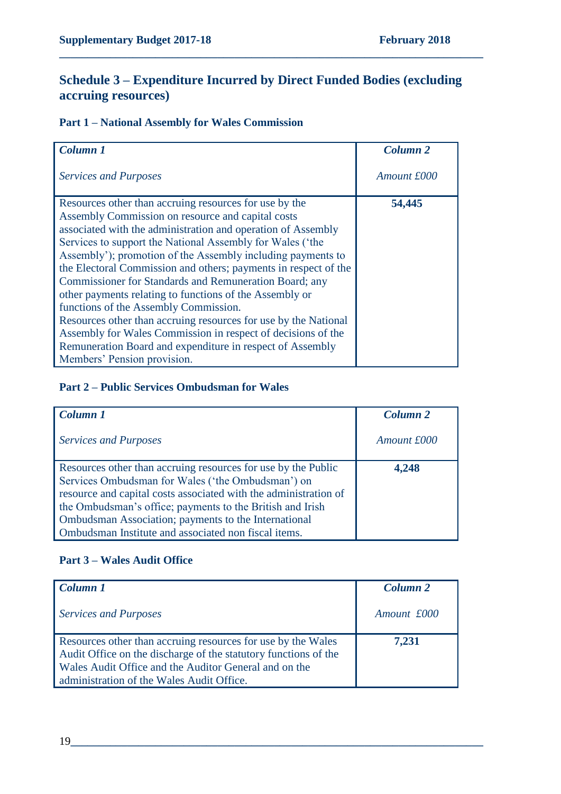### **Schedule 3 – Expenditure Incurred by Direct Funded Bodies (excluding accruing resources)**

**\_\_\_\_\_\_\_\_\_\_\_\_\_\_\_\_\_\_\_\_\_\_\_\_\_\_\_\_\_\_\_\_\_\_\_\_\_\_\_\_\_\_\_\_\_\_\_\_\_\_\_\_\_\_\_\_\_\_\_\_\_\_\_\_\_\_\_\_\_\_\_\_\_\_\_**

### **Part 1 – National Assembly for Wales Commission**

| Column 1                                                        | Column <sub>2</sub> |
|-----------------------------------------------------------------|---------------------|
| <b>Services and Purposes</b>                                    | Amount £000         |
| Resources other than accruing resources for use by the          | 54,445              |
| Assembly Commission on resource and capital costs               |                     |
| associated with the administration and operation of Assembly    |                     |
| Services to support the National Assembly for Wales ('the       |                     |
| Assembly'); promotion of the Assembly including payments to     |                     |
| the Electoral Commission and others; payments in respect of the |                     |
| Commissioner for Standards and Remuneration Board; any          |                     |
| other payments relating to functions of the Assembly or         |                     |
| functions of the Assembly Commission.                           |                     |
| Resources other than accruing resources for use by the National |                     |
| Assembly for Wales Commission in respect of decisions of the    |                     |
| Remuneration Board and expenditure in respect of Assembly       |                     |
| Members' Pension provision.                                     |                     |

#### **Part 2 – Public Services Ombudsman for Wales**

| Column 1                                                         | Column <sub>2</sub> |
|------------------------------------------------------------------|---------------------|
| <b>Services and Purposes</b>                                     | Amount £000         |
| Resources other than accruing resources for use by the Public    | 4.248               |
| Services Ombudsman for Wales ('the Ombudsman') on                |                     |
| resource and capital costs associated with the administration of |                     |
| the Ombudsman's office; payments to the British and Irish        |                     |
| Ombudsman Association; payments to the International             |                     |
| Ombudsman Institute and associated non fiscal items.             |                     |

#### **Part 3 – Wales Audit Office**

| Column 1                                                                                                                                                                                                                              | Column <sub>2</sub> |
|---------------------------------------------------------------------------------------------------------------------------------------------------------------------------------------------------------------------------------------|---------------------|
| <b>Services and Purposes</b>                                                                                                                                                                                                          | Amount £000         |
| Resources other than accruing resources for use by the Wales<br>Audit Office on the discharge of the statutory functions of the<br>Wales Audit Office and the Auditor General and on the<br>administration of the Wales Audit Office. | 7,231               |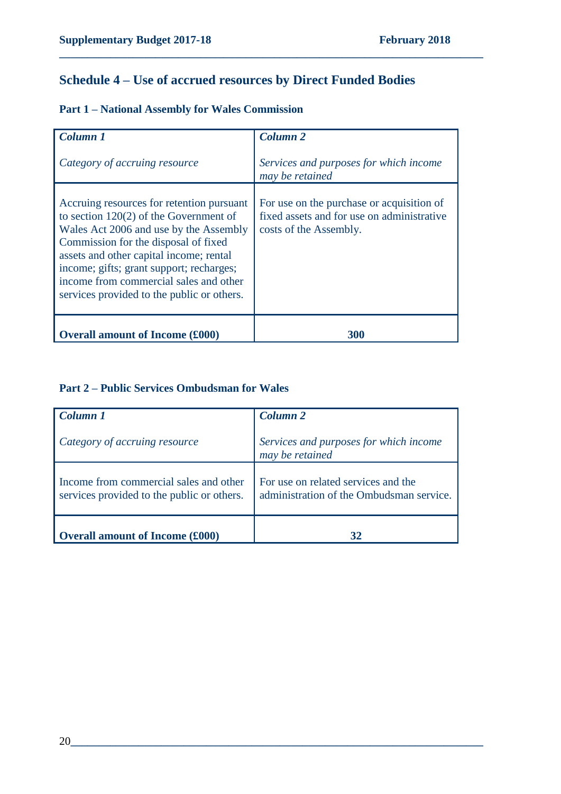# **Schedule 4 – Use of accrued resources by Direct Funded Bodies**

**\_\_\_\_\_\_\_\_\_\_\_\_\_\_\_\_\_\_\_\_\_\_\_\_\_\_\_\_\_\_\_\_\_\_\_\_\_\_\_\_\_\_\_\_\_\_\_\_\_\_\_\_\_\_\_\_\_\_\_\_\_\_\_\_\_\_\_\_\_\_\_\_\_\_\_**

|  |  |  |  |  |  | <b>Part 1 - National Assembly for Wales Commission</b> |
|--|--|--|--|--|--|--------------------------------------------------------|
|--|--|--|--|--|--|--------------------------------------------------------|

| Column 1                                                                                                                                                                                                                                                                                                                                               | Column <sub>2</sub>                                                                                               |
|--------------------------------------------------------------------------------------------------------------------------------------------------------------------------------------------------------------------------------------------------------------------------------------------------------------------------------------------------------|-------------------------------------------------------------------------------------------------------------------|
| Category of accruing resource                                                                                                                                                                                                                                                                                                                          | Services and purposes for which income<br>may be retained                                                         |
| Accruing resources for retention pursuant<br>to section $120(2)$ of the Government of<br>Wales Act 2006 and use by the Assembly<br>Commission for the disposal of fixed<br>assets and other capital income; rental<br>income; gifts; grant support; recharges;<br>income from commercial sales and other<br>services provided to the public or others. | For use on the purchase or acquisition of<br>fixed assets and for use on administrative<br>costs of the Assembly. |
| <b>Overall amount of Income (£000)</b>                                                                                                                                                                                                                                                                                                                 | 300                                                                                                               |

### **Part 2 – Public Services Ombudsman for Wales**

| Column 1                                                                             | Column <sub>2</sub>                                                             |
|--------------------------------------------------------------------------------------|---------------------------------------------------------------------------------|
| Category of accruing resource                                                        | Services and purposes for which income<br>may be retained                       |
| Income from commercial sales and other<br>services provided to the public or others. | For use on related services and the<br>administration of the Ombudsman service. |
| <b>Overall amount of Income (£000)</b>                                               | 32                                                                              |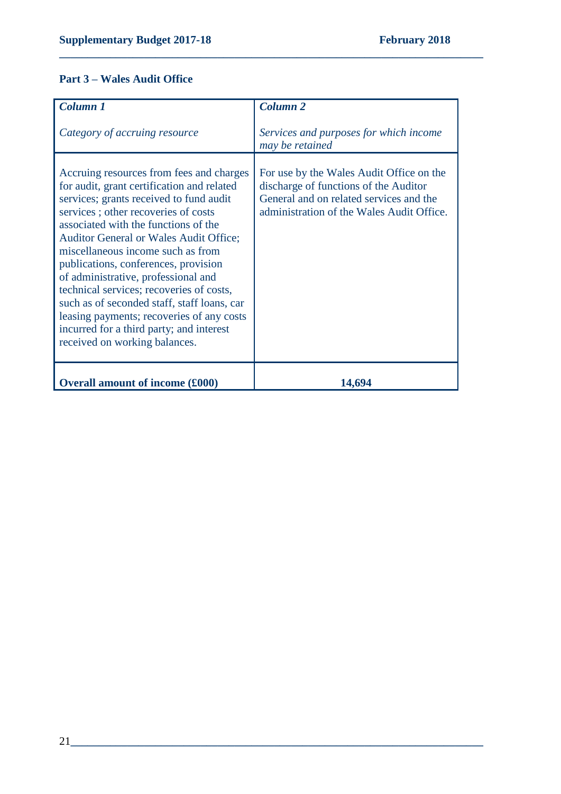### **Part 3 – Wales Audit Office**

| Column 1                                                                                                                                                                                                                                                                                                                                                                                                                                                                                                                                                                                                   | <b>Column 2</b>                                                                                                                                                           |
|------------------------------------------------------------------------------------------------------------------------------------------------------------------------------------------------------------------------------------------------------------------------------------------------------------------------------------------------------------------------------------------------------------------------------------------------------------------------------------------------------------------------------------------------------------------------------------------------------------|---------------------------------------------------------------------------------------------------------------------------------------------------------------------------|
| Category of accruing resource                                                                                                                                                                                                                                                                                                                                                                                                                                                                                                                                                                              | Services and purposes for which income<br>may be retained                                                                                                                 |
| Accruing resources from fees and charges<br>for audit, grant certification and related<br>services; grants received to fund audit<br>services; other recoveries of costs<br>associated with the functions of the<br><b>Auditor General or Wales Audit Office;</b><br>miscellaneous income such as from<br>publications, conferences, provision<br>of administrative, professional and<br>technical services; recoveries of costs,<br>such as of seconded staff, staff loans, car<br>leasing payments; recoveries of any costs<br>incurred for a third party; and interest<br>received on working balances. | For use by the Wales Audit Office on the<br>discharge of functions of the Auditor<br>General and on related services and the<br>administration of the Wales Audit Office. |
| <b>Overall amount of income (£000)</b>                                                                                                                                                                                                                                                                                                                                                                                                                                                                                                                                                                     | 14,694                                                                                                                                                                    |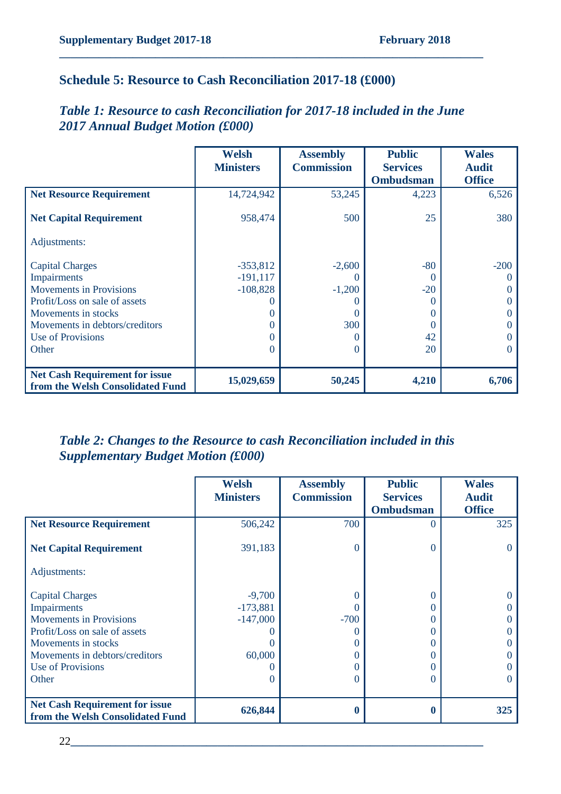### **Schedule 5: Resource to Cash Reconciliation 2017-18 (£000)**

### *Table 1: Resource to cash Reconciliation for 2017-18 included in the June 2017 Annual Budget Motion (£000)*

**\_\_\_\_\_\_\_\_\_\_\_\_\_\_\_\_\_\_\_\_\_\_\_\_\_\_\_\_\_\_\_\_\_\_\_\_\_\_\_\_\_\_\_\_\_\_\_\_\_\_\_\_\_\_\_\_\_\_\_\_\_\_\_\_\_\_\_\_\_\_\_\_\_\_\_**

|                                                                                                                                                                                                 | <b>Welsh</b><br><b>Ministers</b>                                  | <b>Assembly</b><br><b>Commission</b>                                   | <b>Public</b><br><b>Services</b><br><b>Ombudsman</b>         | <b>Wales</b><br><b>Audit</b><br><b>Office</b>             |
|-------------------------------------------------------------------------------------------------------------------------------------------------------------------------------------------------|-------------------------------------------------------------------|------------------------------------------------------------------------|--------------------------------------------------------------|-----------------------------------------------------------|
| <b>Net Resource Requirement</b>                                                                                                                                                                 | 14,724,942                                                        | 53,245                                                                 | 4,223                                                        | 6,526                                                     |
| <b>Net Capital Requirement</b>                                                                                                                                                                  | 958,474                                                           | 500                                                                    | 25                                                           | 380                                                       |
| Adjustments:                                                                                                                                                                                    |                                                                   |                                                                        |                                                              |                                                           |
| <b>Capital Charges</b><br>Impairments<br><b>Movements in Provisions</b><br>Profit/Loss on sale of assets<br>Movements in stocks<br>Movements in debtors/creditors<br>Use of Provisions<br>Other | $-353,812$<br>$-191, 117$<br>$-108,828$<br>$\mathbf{\Omega}$<br>0 | $-2,600$<br>$\cup$<br>$-1,200$<br>$\mathbf{\Omega}$<br>300<br>$\theta$ | $-80$<br>$\theta$<br>$-20$<br>0<br>0<br>$\theta$<br>42<br>20 | $-200$<br>$\Omega$<br>$\Omega$<br>$\Omega$<br>0<br>0<br>0 |
| <b>Net Cash Requirement for issue</b><br>from the Welsh Consolidated Fund                                                                                                                       | 15,029,659                                                        | 50,245                                                                 | 4,210                                                        | 6,706                                                     |

### *Table 2: Changes to the Resource to cash Reconciliation included in this Supplementary Budget Motion (£000)*

|                                       | <b>Welsh</b><br><b>Ministers</b> | <b>Assembly</b><br><b>Commission</b> | <b>Public</b><br><b>Services</b><br><b>Ombudsman</b> | <b>Wales</b><br><b>Audit</b><br><b>Office</b> |
|---------------------------------------|----------------------------------|--------------------------------------|------------------------------------------------------|-----------------------------------------------|
| <b>Net Resource Requirement</b>       | 506,242                          | 700                                  | $\Omega$                                             | 325                                           |
| <b>Net Capital Requirement</b>        | 391,183                          | $\overline{0}$                       | $\theta$                                             |                                               |
| Adjustments:                          |                                  |                                      |                                                      |                                               |
| <b>Capital Charges</b>                | $-9,700$                         | $\theta$                             | 0                                                    |                                               |
| Impairments                           | $-173,881$                       | 0                                    |                                                      |                                               |
| <b>Movements in Provisions</b>        | $-147,000$                       | $-700$                               |                                                      |                                               |
| Profit/Loss on sale of assets         |                                  |                                      |                                                      |                                               |
| Movements in stocks                   |                                  | 0                                    |                                                      |                                               |
| Movements in debtors/creditors        | 60,000                           | 0                                    |                                                      |                                               |
| Use of Provisions                     |                                  | 0                                    |                                                      |                                               |
| Other                                 |                                  | 0                                    | $\left($                                             |                                               |
| <b>Net Cash Requirement for issue</b> |                                  |                                      |                                                      |                                               |
| from the Welsh Consolidated Fund      | 626,844                          | 0                                    |                                                      | 325                                           |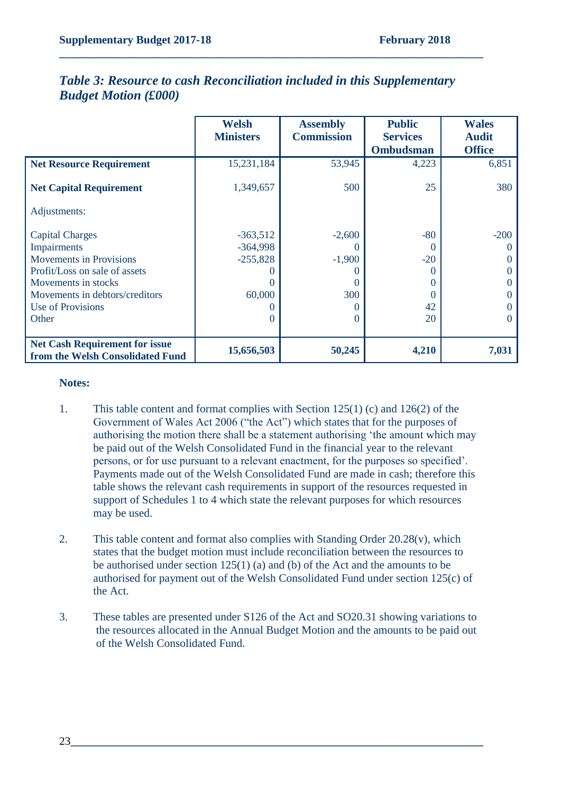|                                                                           | <b>Welsh</b>     | <b>Assembly</b>   | <b>Public</b>    | <b>Wales</b>      |
|---------------------------------------------------------------------------|------------------|-------------------|------------------|-------------------|
|                                                                           | <b>Ministers</b> | <b>Commission</b> | <b>Services</b>  | <b>Audit</b>      |
|                                                                           |                  |                   | <b>Ombudsman</b> | <b>Office</b>     |
| <b>Net Resource Requirement</b>                                           | 15,231,184       | 53,945            | 4,223            | 6,851             |
| <b>Net Capital Requirement</b>                                            | 1,349,657        | 500               | 25               | 380               |
| Adjustments:                                                              |                  |                   |                  |                   |
| <b>Capital Charges</b>                                                    | $-363,512$       | $-2,600$          | $-80$            | $-200$            |
| Impairments                                                               | $-364,998$       | $\theta$          |                  |                   |
| <b>Movements in Provisions</b>                                            | $-255,828$       | $-1,900$          | $-20$            |                   |
| Profit/Loss on sale of assets                                             |                  |                   |                  |                   |
| Movements in stocks                                                       |                  | $\theta$          |                  |                   |
| Movements in debtors/creditors                                            | 60,000           | 300               |                  |                   |
| Use of Provisions                                                         |                  |                   | 42               |                   |
| Other                                                                     |                  | $\Omega$          | 20               | $\mathbf{\Omega}$ |
|                                                                           |                  |                   |                  |                   |
| <b>Net Cash Requirement for issue</b><br>from the Welsh Consolidated Fund | 15,656,503       | 50,245            | 4,210            | 7,031             |

### *Table 3: Resource to cash Reconciliation included in this Supplementary Budget Motion (£000)*

**\_\_\_\_\_\_\_\_\_\_\_\_\_\_\_\_\_\_\_\_\_\_\_\_\_\_\_\_\_\_\_\_\_\_\_\_\_\_\_\_\_\_\_\_\_\_\_\_\_\_\_\_\_\_\_\_\_\_\_\_\_\_\_\_\_\_\_\_\_\_\_\_\_\_\_**

#### **Notes:**

- 1. This table content and format complies with Section 125(1) (c) and 126(2) of the Government of Wales Act 2006 ("the Act") which states that for the purposes of authorising the motion there shall be a statement authorising 'the amount which may be paid out of the Welsh Consolidated Fund in the financial year to the relevant persons, or for use pursuant to a relevant enactment, for the purposes so specified'. Payments made out of the Welsh Consolidated Fund are made in cash; therefore this table shows the relevant cash requirements in support of the resources requested in support of Schedules 1 to 4 which state the relevant purposes for which resources may be used.
- 2. This table content and format also complies with Standing Order 20.28(v), which states that the budget motion must include reconciliation between the resources to be authorised under section 125(1) (a) and (b) of the Act and the amounts to be authorised for payment out of the Welsh Consolidated Fund under section 125(c) of the Act.
- 3. These tables are presented under S126 of the Act and SO20.31 showing variations to the resources allocated in the Annual Budget Motion and the amounts to be paid out of the Welsh Consolidated Fund.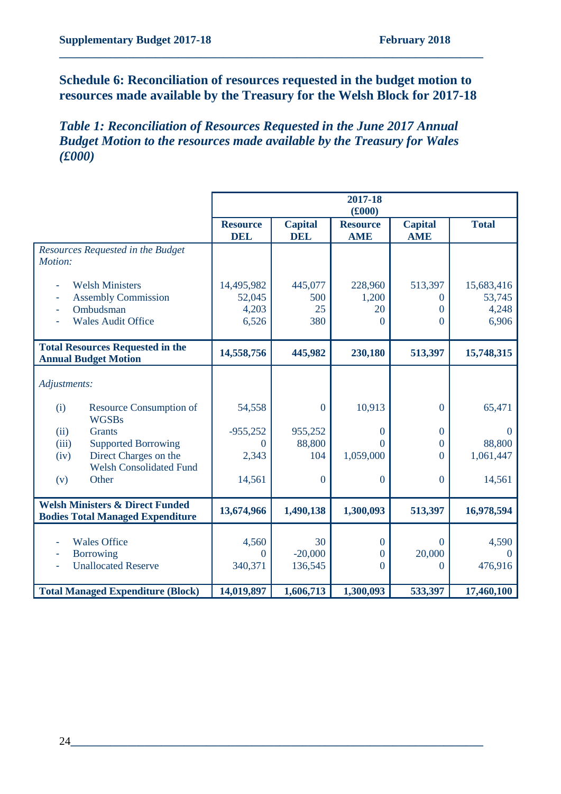### **Schedule 6: Reconciliation of resources requested in the budget motion to resources made available by the Treasury for the Welsh Block for 2017-18**

**\_\_\_\_\_\_\_\_\_\_\_\_\_\_\_\_\_\_\_\_\_\_\_\_\_\_\_\_\_\_\_\_\_\_\_\_\_\_\_\_\_\_\_\_\_\_\_\_\_\_\_\_\_\_\_\_\_\_\_\_\_\_\_\_\_\_\_\_\_\_\_\_\_\_\_**

*Table 1: Reconciliation of Resources Requested in the June 2017 Annual Budget Motion to the resources made available by the Treasury for Wales (£000)*

|                                                                                       |                               |                              | 2017-18<br>(f000)             |                              |              |
|---------------------------------------------------------------------------------------|-------------------------------|------------------------------|-------------------------------|------------------------------|--------------|
|                                                                                       | <b>Resource</b><br><b>DEL</b> | <b>Capital</b><br><b>DEL</b> | <b>Resource</b><br><b>AME</b> | <b>Capital</b><br><b>AME</b> | <b>Total</b> |
| Resources Requested in the Budget<br>Motion:                                          |                               |                              |                               |                              |              |
| <b>Welsh Ministers</b>                                                                | 14,495,982                    | 445,077                      | 228,960                       | 513,397                      | 15,683,416   |
| <b>Assembly Commission</b>                                                            | 52,045                        | 500                          | 1,200                         | $\Omega$                     | 53,745       |
| Ombudsman<br>٠                                                                        | 4,203                         | 25                           | 20                            | $\Omega$                     | 4,248        |
| <b>Wales Audit Office</b>                                                             | 6,526                         | 380                          | $\Omega$                      | 0                            | 6,906        |
| <b>Total Resources Requested in the</b><br><b>Annual Budget Motion</b>                | 14,558,756                    | 445,982                      | 230,180                       | 513,397                      | 15,748,315   |
| Adjustments:                                                                          |                               |                              |                               |                              |              |
| <b>Resource Consumption of</b><br>(i)<br><b>WGSBs</b>                                 | 54,558                        | $\overline{0}$               | 10,913                        | $\mathbf{0}$                 | 65,471       |
| <b>Grants</b><br>(ii)                                                                 | $-955,252$                    | 955,252                      | 0                             | $\overline{0}$               | $\theta$     |
| <b>Supported Borrowing</b><br>(iii)                                                   | $\Omega$                      | 88,800                       | 0                             | $\overline{0}$               | 88,800       |
| Direct Charges on the<br>(iv)<br><b>Welsh Consolidated Fund</b>                       | 2,343                         | 104                          | 1,059,000                     | $\theta$                     | 1,061,447    |
| Other<br>(v)                                                                          | 14,561                        | $\Omega$                     | $\mathbf{0}$                  | $\Omega$                     | 14,561       |
| <b>Welsh Ministers &amp; Direct Funded</b><br><b>Bodies Total Managed Expenditure</b> | 13,674,966                    | 1,490,138                    | 1,300,093                     | 513,397                      | 16,978,594   |
|                                                                                       |                               |                              |                               |                              |              |
| <b>Wales Office</b>                                                                   | 4,560                         | 30                           | $\mathbf{0}$                  | $\Omega$                     | 4,590        |
| <b>Borrowing</b>                                                                      | $\theta$                      | $-20,000$                    | $\boldsymbol{0}$              | 20,000                       | $\Omega$     |
| <b>Unallocated Reserve</b>                                                            | 340,371                       | 136,545                      | $\Omega$                      | $\Omega$                     | 476,916      |
| <b>Total Managed Expenditure (Block)</b>                                              | 14,019,897                    | 1,606,713                    | 1,300,093                     | 533,397                      | 17,460,100   |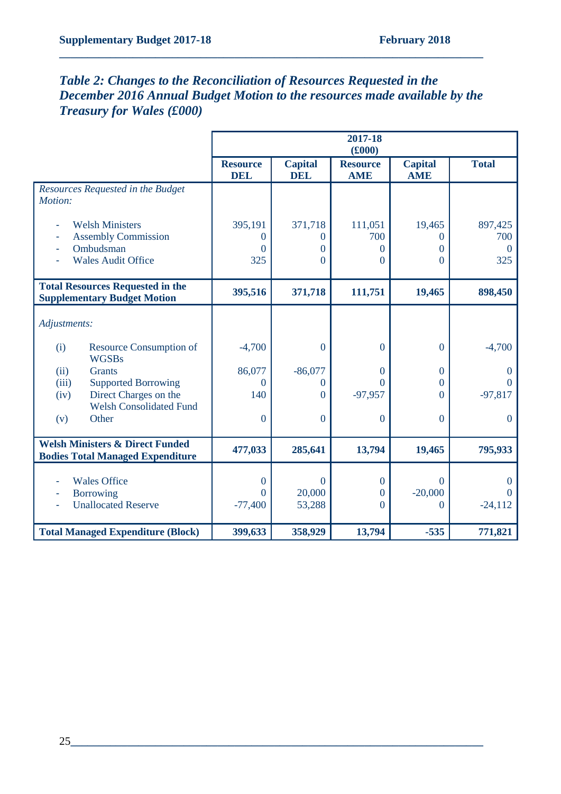### *Table 2: Changes to the Reconciliation of Resources Requested in the December 2016 Annual Budget Motion to the resources made available by the Treasury for Wales (£000)*

|                                                                                       |                               |                              | 2017-18<br>(f000)             |                              |                      |
|---------------------------------------------------------------------------------------|-------------------------------|------------------------------|-------------------------------|------------------------------|----------------------|
|                                                                                       | <b>Resource</b><br><b>DEL</b> | <b>Capital</b><br><b>DEL</b> | <b>Resource</b><br><b>AME</b> | <b>Capital</b><br><b>AME</b> | <b>Total</b>         |
| Resources Requested in the Budget<br>Motion:                                          |                               |                              |                               |                              |                      |
| <b>Welsh Ministers</b>                                                                | 395,191                       | 371,718                      | 111,051                       | 19,465                       | 897,425              |
| <b>Assembly Commission</b>                                                            | $\Omega$                      | $\Omega$                     | 700                           | 0                            | 700                  |
| Ombudsman                                                                             | $\Omega$                      | $\theta$                     | 0                             | $\Omega$                     | $\Omega$             |
| <b>Wales Audit Office</b>                                                             | 325                           | $\Omega$                     | $\Omega$                      | $\Omega$                     | 325                  |
| <b>Total Resources Requested in the</b><br><b>Supplementary Budget Motion</b>         | 395,516                       | 371,718                      | 111,751                       | 19,465                       | 898,450              |
| Adjustments:                                                                          |                               |                              |                               |                              |                      |
| Resource Consumption of<br>(i)<br><b>WGSBs</b>                                        | $-4,700$                      | $\overline{0}$               | $\theta$                      | $\Omega$                     | $-4,700$             |
| <b>Grants</b><br>(ii)                                                                 | 86,077                        | $-86,077$                    | $\Omega$                      | $\theta$                     | $\Omega$             |
| <b>Supported Borrowing</b><br>(iii)                                                   | $\Omega$                      | $\theta$                     | $\Omega$                      | $\Omega$                     | $\Omega$             |
| Direct Charges on the<br>(iv)                                                         | 140                           | $\overline{0}$               | $-97,957$                     | $\Omega$                     | $-97,817$            |
| <b>Welsh Consolidated Fund</b><br>Other<br>(v)                                        | $\overline{0}$                | $\overline{0}$               | $\theta$                      | $\overline{0}$               | $\Omega$             |
| <b>Welsh Ministers &amp; Direct Funded</b><br><b>Bodies Total Managed Expenditure</b> | 477,033                       | 285,641                      | 13,794                        | 19,465                       | 795,933              |
|                                                                                       |                               |                              |                               |                              |                      |
| <b>Wales Office</b>                                                                   | $\Omega$<br>$\Omega$          | $\Omega$<br>20,000           | $\bf{0}$                      | $\Omega$<br>$-20,000$        | $\Omega$<br>$\Omega$ |
| <b>Borrowing</b><br><b>Unallocated Reserve</b>                                        | $-77,400$                     | 53,288                       | $\overline{0}$<br>$\theta$    | $\Omega$                     | $-24,112$            |
|                                                                                       |                               |                              |                               |                              |                      |
| <b>Total Managed Expenditure (Block)</b>                                              | 399,633                       | 358,929                      | 13,794                        | $-535$                       | 771,821              |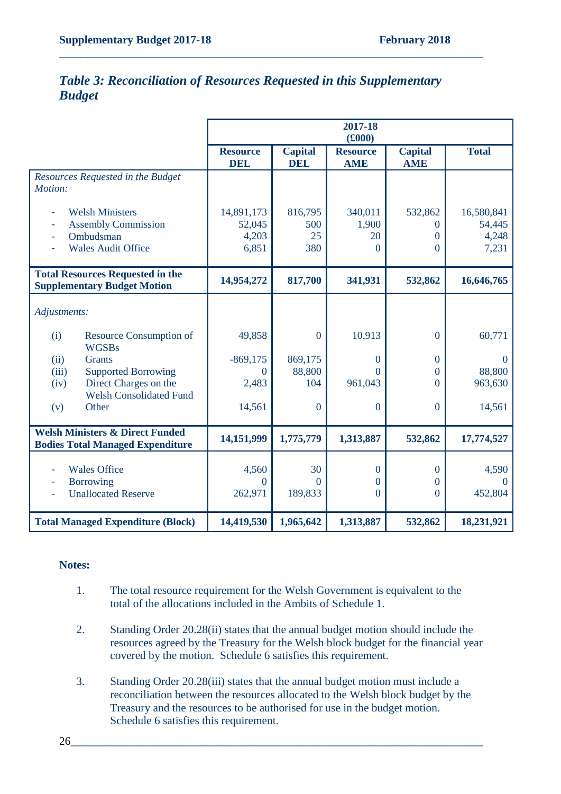| <b>Table 3: Reconciliation of Resources Requested in this Supplementary</b> |  |  |
|-----------------------------------------------------------------------------|--|--|
| <b>Budget</b>                                                               |  |  |

|                                                                                                | 2017-18<br>(f000)                      |                              |                                    |                               |                                        |
|------------------------------------------------------------------------------------------------|----------------------------------------|------------------------------|------------------------------------|-------------------------------|----------------------------------------|
|                                                                                                | <b>Resource</b><br><b>DEL</b>          | <b>Capital</b><br><b>DEL</b> | <b>Resource</b><br><b>AME</b>      | <b>Capital</b><br><b>AME</b>  | <b>Total</b>                           |
| Resources Requested in the Budget<br>Motion:                                                   |                                        |                              |                                    |                               |                                        |
| <b>Welsh Ministers</b><br><b>Assembly Commission</b><br>Ombudsman<br><b>Wales Audit Office</b> | 14,891,173<br>52,045<br>4,203<br>6,851 | 816,795<br>500<br>25<br>380  | 340,011<br>1,900<br>20<br>$\Omega$ | 532,862<br>0<br>0<br>$\Omega$ | 16,580,841<br>54,445<br>4,248<br>7,231 |
| <b>Total Resources Requested in the</b><br><b>Supplementary Budget Motion</b>                  | 14,954,272                             | 817,700                      | 341,931                            | 532,862                       | 16,646,765                             |
| Adjustments:                                                                                   |                                        |                              |                                    |                               |                                        |
| <b>Resource Consumption of</b><br>(i)<br><b>WGSBs</b>                                          | 49,858                                 | $\mathbf{0}$                 | 10,913                             | $\overline{0}$                | 60,771                                 |
| <b>Grants</b><br>(ii)                                                                          | $-869,175$                             | 869,175                      | $\mathbf{0}$                       | $\mathbf{0}$                  | $\mathbf{0}$                           |
| <b>Supported Borrowing</b><br>(iii)                                                            | $\theta$                               | 88,800                       | $\Omega$                           | $\Omega$                      | 88,800                                 |
| Direct Charges on the<br>(iv)<br><b>Welsh Consolidated Fund</b>                                | 2,483                                  | 104                          | 961,043                            | $\Omega$                      | 963,630                                |
| Other<br>(v)                                                                                   | 14,561                                 | $\mathbf{0}$                 | $\mathbf{0}$                       | $\mathbf{0}$                  | 14,561                                 |
| <b>Welsh Ministers &amp; Direct Funded</b><br><b>Bodies Total Managed Expenditure</b>          | 14,151,999                             | 1,775,779                    | 1,313,887                          | 532,862                       | 17,774,527                             |
| <b>Wales Office</b><br><b>Borrowing</b><br>Ξ                                                   | 4,560<br>$\boldsymbol{0}$              | 30<br>$\theta$               | $\mathbf{0}$<br>$\boldsymbol{0}$   | $\mathbf{0}$<br>$\theta$      | 4,590<br>$\Omega$                      |
| <b>Unallocated Reserve</b>                                                                     | 262,971                                | 189,833                      | $\mathbf{0}$                       | $\overline{0}$                | 452,804                                |
| <b>Total Managed Expenditure (Block)</b>                                                       | 14,419,530                             | 1,965,642                    | 1,313,887                          | 532,862                       | 18,231,921                             |

#### **Notes:**

- 1. The total resource requirement for the Welsh Government is equivalent to the total of the allocations included in the Ambits of Schedule 1.
- 2. Standing Order 20.28(ii) states that the annual budget motion should include the resources agreed by the Treasury for the Welsh block budget for the financial year covered by the motion. Schedule 6 satisfies this requirement.
- 3. Standing Order 20.28(iii) states that the annual budget motion must include a reconciliation between the resources allocated to the Welsh block budget by the Treasury and the resources to be authorised for use in the budget motion. Schedule 6 satisfies this requirement.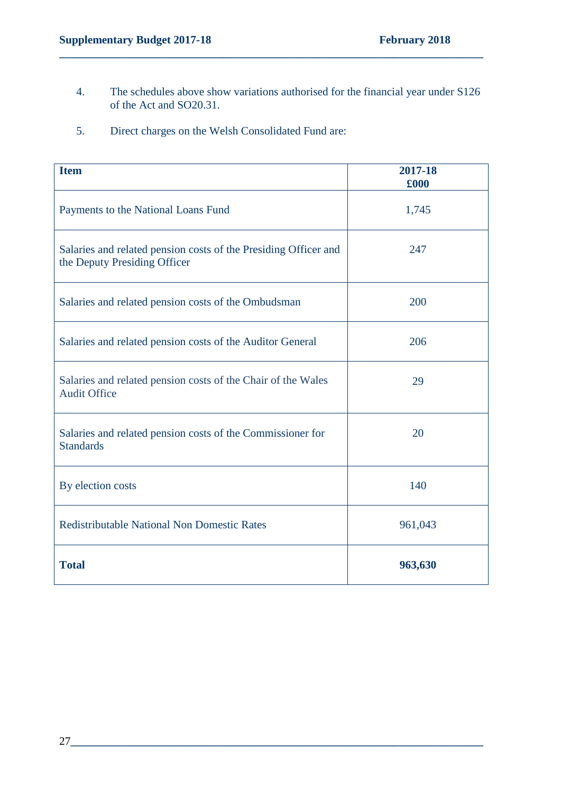4. The schedules above show variations authorised for the financial year under S126 of the Act and SO20.31.

**\_\_\_\_\_\_\_\_\_\_\_\_\_\_\_\_\_\_\_\_\_\_\_\_\_\_\_\_\_\_\_\_\_\_\_\_\_\_\_\_\_\_\_\_\_\_\_\_\_\_\_\_\_\_\_\_\_\_\_\_\_\_\_\_\_\_\_\_\_\_\_\_\_\_\_**

5. Direct charges on the Welsh Consolidated Fund are:

| <b>Item</b>                                                                                     | 2017-18<br>£000 |
|-------------------------------------------------------------------------------------------------|-----------------|
| Payments to the National Loans Fund                                                             | 1,745           |
| Salaries and related pension costs of the Presiding Officer and<br>the Deputy Presiding Officer | 247             |
| Salaries and related pension costs of the Ombudsman                                             | 200             |
| Salaries and related pension costs of the Auditor General                                       | 206             |
| Salaries and related pension costs of the Chair of the Wales<br><b>Audit Office</b>             | 29              |
| Salaries and related pension costs of the Commissioner for<br><b>Standards</b>                  | 20              |
| By election costs                                                                               | 140             |
| <b>Redistributable National Non Domestic Rates</b>                                              | 961,043         |
| <b>Total</b>                                                                                    | 963,630         |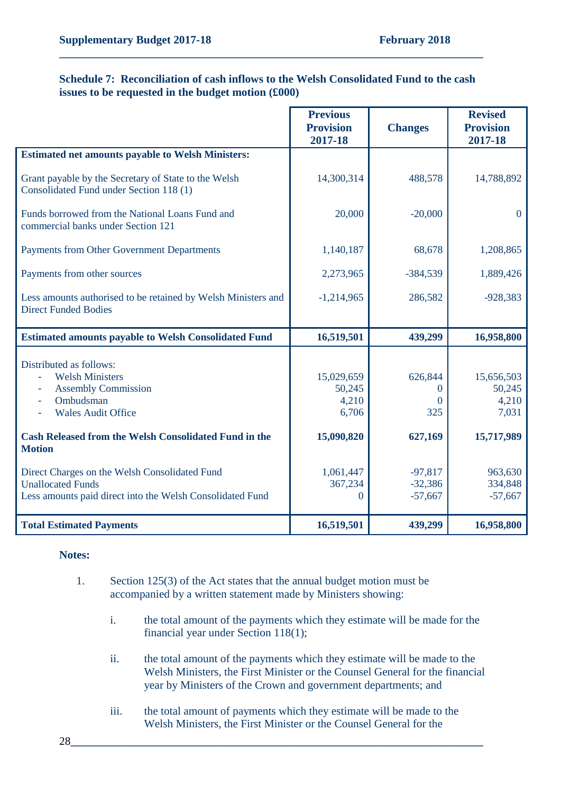#### **Schedule 7: Reconciliation of cash inflows to the Welsh Consolidated Fund to the cash issues to be requested in the budget motion (£000)**

**\_\_\_\_\_\_\_\_\_\_\_\_\_\_\_\_\_\_\_\_\_\_\_\_\_\_\_\_\_\_\_\_\_\_\_\_\_\_\_\_\_\_\_\_\_\_\_\_\_\_\_\_\_\_\_\_\_\_\_\_\_\_\_\_\_\_\_\_\_\_\_\_\_\_\_**

|                                                                                                                                                       | <b>Previous</b><br><b>Provision</b><br>2017-18 | <b>Changes</b>                         | <b>Revised</b><br><b>Provision</b><br>2017-18 |
|-------------------------------------------------------------------------------------------------------------------------------------------------------|------------------------------------------------|----------------------------------------|-----------------------------------------------|
| <b>Estimated net amounts payable to Welsh Ministers:</b>                                                                                              |                                                |                                        |                                               |
| Grant payable by the Secretary of State to the Welsh<br>Consolidated Fund under Section 118 (1)                                                       | 14,300,314                                     | 488,578                                | 14,788,892                                    |
| Funds borrowed from the National Loans Fund and<br>commercial banks under Section 121                                                                 | 20,000                                         | $-20,000$                              | $\overline{0}$                                |
| Payments from Other Government Departments                                                                                                            | 1,140,187                                      | 68,678                                 | 1,208,865                                     |
| Payments from other sources                                                                                                                           | 2,273,965                                      | $-384,539$                             | 1,889,426                                     |
| Less amounts authorised to be retained by Welsh Ministers and<br><b>Direct Funded Bodies</b>                                                          | $-1,214,965$                                   | 286,582                                | $-928,383$                                    |
| <b>Estimated amounts payable to Welsh Consolidated Fund</b>                                                                                           | 16,519,501                                     | 439,299                                | 16,958,800                                    |
| Distributed as follows:<br><b>Welsh Ministers</b><br>۰<br><b>Assembly Commission</b><br>۰<br>Ombudsman<br>$\blacksquare$<br><b>Wales Audit Office</b> | 15,029,659<br>50,245<br>4,210<br>6,706         | 626,844<br>$\Omega$<br>$\Omega$<br>325 | 15,656,503<br>50,245<br>4,210<br>7,031        |
| <b>Cash Released from the Welsh Consolidated Fund in the</b><br><b>Motion</b>                                                                         | 15,090,820                                     | 627,169                                | 15,717,989                                    |
| Direct Charges on the Welsh Consolidated Fund<br><b>Unallocated Funds</b><br>Less amounts paid direct into the Welsh Consolidated Fund                | 1,061,447<br>367,234<br>$\theta$               | $-97,817$<br>$-32,386$<br>$-57,667$    | 963,630<br>334,848<br>$-57,667$               |
| <b>Total Estimated Payments</b>                                                                                                                       | 16,519,501                                     | 439,299                                | 16,958,800                                    |

#### **Notes:**

- 1. Section 125(3) of the Act states that the annual budget motion must be accompanied by a written statement made by Ministers showing:
	- i. the total amount of the payments which they estimate will be made for the financial year under Section 118(1);
	- ii. the total amount of the payments which they estimate will be made to the Welsh Ministers, the First Minister or the Counsel General for the financial year by Ministers of the Crown and government departments; and
	- iii. the total amount of payments which they estimate will be made to the Welsh Ministers, the First Minister or the Counsel General for the